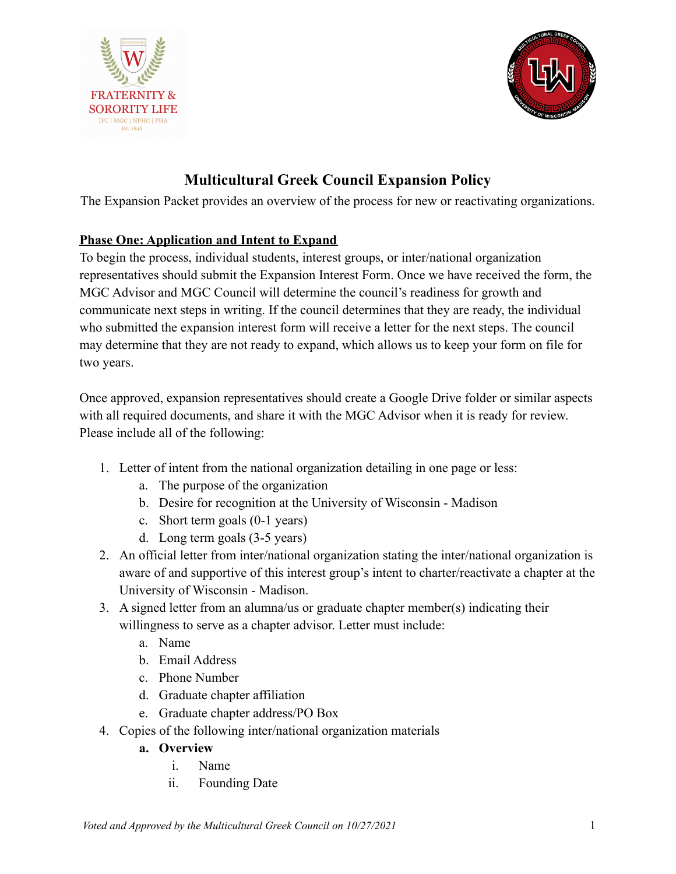



# **Multicultural Greek Council Expansion Policy**

The Expansion Packet provides an overview of the process for new or reactivating organizations.

# **Phase One: Application and Intent to Expand**

To begin the process, individual students, interest groups, or inter/national organization representatives should submit the Expansion Interest Form. Once we have received the form, the MGC Advisor and MGC Council will determine the council's readiness for growth and communicate next steps in writing. If the council determines that they are ready, the individual who submitted the expansion interest form will receive a letter for the next steps. The council may determine that they are not ready to expand, which allows us to keep your form on file for two years.

Once approved, expansion representatives should create a Google Drive folder or similar aspects with all required documents, and share it with the MGC Advisor when it is ready for review. Please include all of the following:

- 1. Letter of intent from the national organization detailing in one page or less:
	- a. The purpose of the organization
	- b. Desire for recognition at the University of Wisconsin Madison
	- c. Short term goals (0-1 years)
	- d. Long term goals (3-5 years)
- 2. An official letter from inter/national organization stating the inter/national organization is aware of and supportive of this interest group's intent to charter/reactivate a chapter at the University of Wisconsin - Madison.
- 3. A signed letter from an alumna/us or graduate chapter member(s) indicating their willingness to serve as a chapter advisor. Letter must include:
	- a. Name
	- b. Email Address
	- c. Phone Number
	- d. Graduate chapter affiliation
	- e. Graduate chapter address/PO Box
- 4. Copies of the following inter/national organization materials
	- **a. Overview**
		- i. Name
		- ii. Founding Date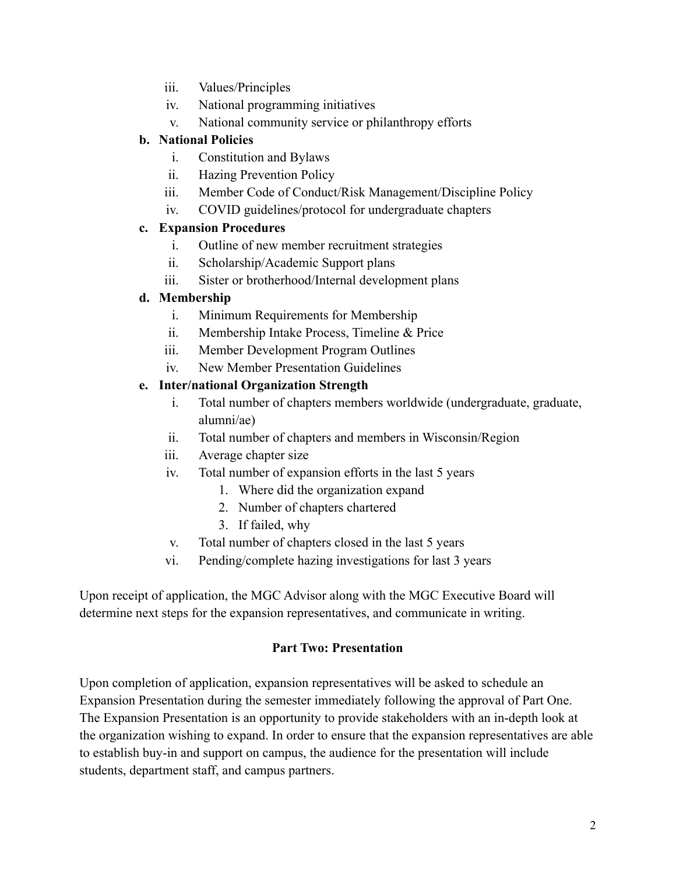- iii. Values/Principles
- iv. National programming initiatives
- v. National community service or philanthropy efforts

## **b. National Policies**

- i. Constitution and Bylaws
- ii. Hazing Prevention Policy
- iii. Member Code of Conduct/Risk Management/Discipline Policy
- iv. COVID guidelines/protocol for undergraduate chapters

## **c. Expansion Procedures**

- i. Outline of new member recruitment strategies
- ii. Scholarship/Academic Support plans
- iii. Sister or brotherhood/Internal development plans

## **d. Membership**

- i. Minimum Requirements for Membership
- ii. Membership Intake Process, Timeline & Price
- iii. Member Development Program Outlines
- iv. New Member Presentation Guidelines

## **e. Inter/national Organization Strength**

- i. Total number of chapters members worldwide (undergraduate, graduate, alumni/ae)
- ii. Total number of chapters and members in Wisconsin/Region
- iii. Average chapter size
- iv. Total number of expansion efforts in the last 5 years
	- 1. Where did the organization expand
	- 2. Number of chapters chartered
	- 3. If failed, why
- v. Total number of chapters closed in the last 5 years
- vi. Pending/complete hazing investigations for last 3 years

Upon receipt of application, the MGC Advisor along with the MGC Executive Board will determine next steps for the expansion representatives, and communicate in writing.

#### **Part Two: Presentation**

Upon completion of application, expansion representatives will be asked to schedule an Expansion Presentation during the semester immediately following the approval of Part One. The Expansion Presentation is an opportunity to provide stakeholders with an in-depth look at the organization wishing to expand. In order to ensure that the expansion representatives are able to establish buy-in and support on campus, the audience for the presentation will include students, department staff, and campus partners.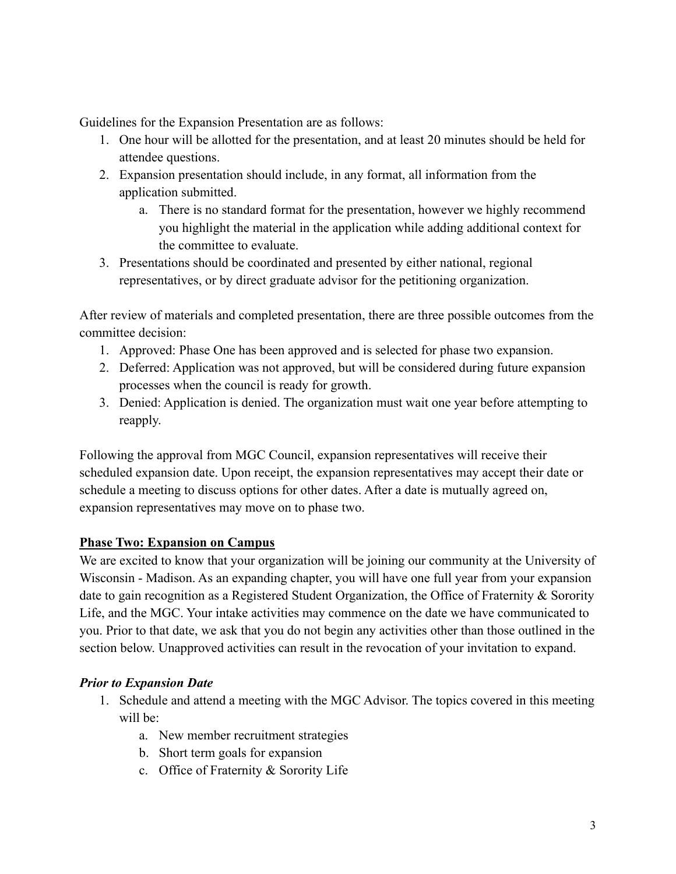Guidelines for the Expansion Presentation are as follows:

- 1. One hour will be allotted for the presentation, and at least 20 minutes should be held for attendee questions.
- 2. Expansion presentation should include, in any format, all information from the application submitted.
	- a. There is no standard format for the presentation, however we highly recommend you highlight the material in the application while adding additional context for the committee to evaluate.
- 3. Presentations should be coordinated and presented by either national, regional representatives, or by direct graduate advisor for the petitioning organization.

After review of materials and completed presentation, there are three possible outcomes from the committee decision:

- 1. Approved: Phase One has been approved and is selected for phase two expansion.
- 2. Deferred: Application was not approved, but will be considered during future expansion processes when the council is ready for growth.
- 3. Denied: Application is denied. The organization must wait one year before attempting to reapply.

Following the approval from MGC Council, expansion representatives will receive their scheduled expansion date. Upon receipt, the expansion representatives may accept their date or schedule a meeting to discuss options for other dates. After a date is mutually agreed on, expansion representatives may move on to phase two.

# **Phase Two: Expansion on Campus**

We are excited to know that your organization will be joining our community at the University of Wisconsin - Madison. As an expanding chapter, you will have one full year from your expansion date to gain recognition as a Registered Student Organization, the Office of Fraternity & Sorority Life, and the MGC. Your intake activities may commence on the date we have communicated to you. Prior to that date, we ask that you do not begin any activities other than those outlined in the section below. Unapproved activities can result in the revocation of your invitation to expand.

# *Prior to Expansion Date*

- 1. Schedule and attend a meeting with the MGC Advisor. The topics covered in this meeting will be:
	- a. New member recruitment strategies
	- b. Short term goals for expansion
	- c. Office of Fraternity & Sorority Life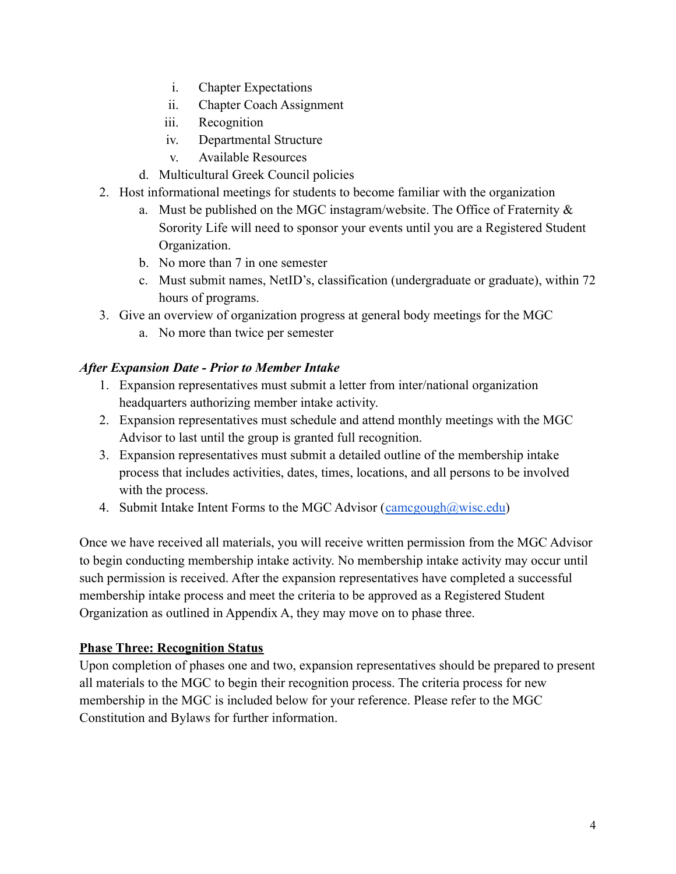- i. Chapter Expectations
- ii. Chapter Coach Assignment
- iii. Recognition
- iv. Departmental Structure
- v. Available Resources
- d. Multicultural Greek Council policies
- 2. Host informational meetings for students to become familiar with the organization
	- a. Must be published on the MGC instagram/website. The Office of Fraternity & Sorority Life will need to sponsor your events until you are a Registered Student Organization.
	- b. No more than 7 in one semester
	- c. Must submit names, NetID's, classification (undergraduate or graduate), within 72 hours of programs.
- 3. Give an overview of organization progress at general body meetings for the MGC
	- a. No more than twice per semester

## *After Expansion Date - Prior to Member Intake*

- 1. Expansion representatives must submit a letter from inter/national organization headquarters authorizing member intake activity.
- 2. Expansion representatives must schedule and attend monthly meetings with the MGC Advisor to last until the group is granted full recognition.
- 3. Expansion representatives must submit a detailed outline of the membership intake process that includes activities, dates, times, locations, and all persons to be involved with the process.
- 4. Submit Intake Intent Forms to the MGC Advisor ([camcgough@wisc.edu](mailto:camcgough@wisc.edu))

Once we have received all materials, you will receive written permission from the MGC Advisor to begin conducting membership intake activity. No membership intake activity may occur until such permission is received. After the expansion representatives have completed a successful membership intake process and meet the criteria to be approved as a Registered Student Organization as outlined in Appendix A, they may move on to phase three.

#### **Phase Three: Recognition Status**

Upon completion of phases one and two, expansion representatives should be prepared to present all materials to the MGC to begin their recognition process. The criteria process for new membership in the MGC is included below for your reference. Please refer to the MGC Constitution and Bylaws for further information.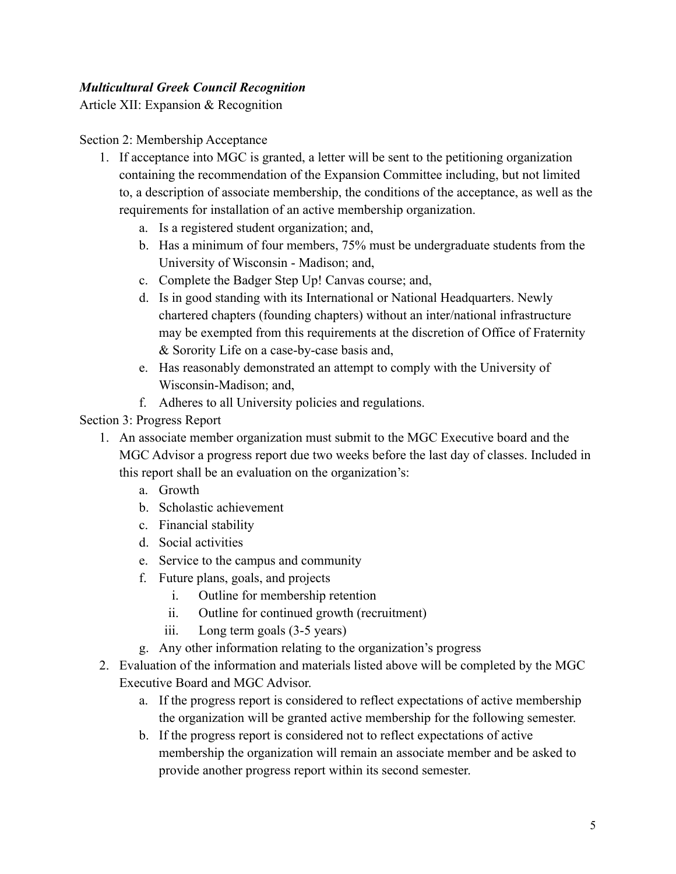# *Multicultural Greek Council Recognition*

Article XII: Expansion & Recognition

#### Section 2: Membership Acceptance

- 1. If acceptance into MGC is granted, a letter will be sent to the petitioning organization containing the recommendation of the Expansion Committee including, but not limited to, a description of associate membership, the conditions of the acceptance, as well as the requirements for installation of an active membership organization.
	- a. Is a registered student organization; and,
	- b. Has a minimum of four members, 75% must be undergraduate students from the University of Wisconsin - Madison; and,
	- c. Complete the Badger Step Up! Canvas course; and,
	- d. Is in good standing with its International or National Headquarters. Newly chartered chapters (founding chapters) without an inter/national infrastructure may be exempted from this requirements at the discretion of Office of Fraternity & Sorority Life on a case-by-case basis and,
	- e. Has reasonably demonstrated an attempt to comply with the University of Wisconsin-Madison; and,
	- f. Adheres to all University policies and regulations.

#### Section 3: Progress Report

- 1. An associate member organization must submit to the MGC Executive board and the MGC Advisor a progress report due two weeks before the last day of classes. Included in this report shall be an evaluation on the organization's:
	- a. Growth
	- b. Scholastic achievement
	- c. Financial stability
	- d. Social activities
	- e. Service to the campus and community
	- f. Future plans, goals, and projects
		- i. Outline for membership retention
		- ii. Outline for continued growth (recruitment)
		- iii. Long term goals (3-5 years)
	- g. Any other information relating to the organization's progress
- 2. Evaluation of the information and materials listed above will be completed by the MGC Executive Board and MGC Advisor.
	- a. If the progress report is considered to reflect expectations of active membership the organization will be granted active membership for the following semester.
	- b. If the progress report is considered not to reflect expectations of active membership the organization will remain an associate member and be asked to provide another progress report within its second semester.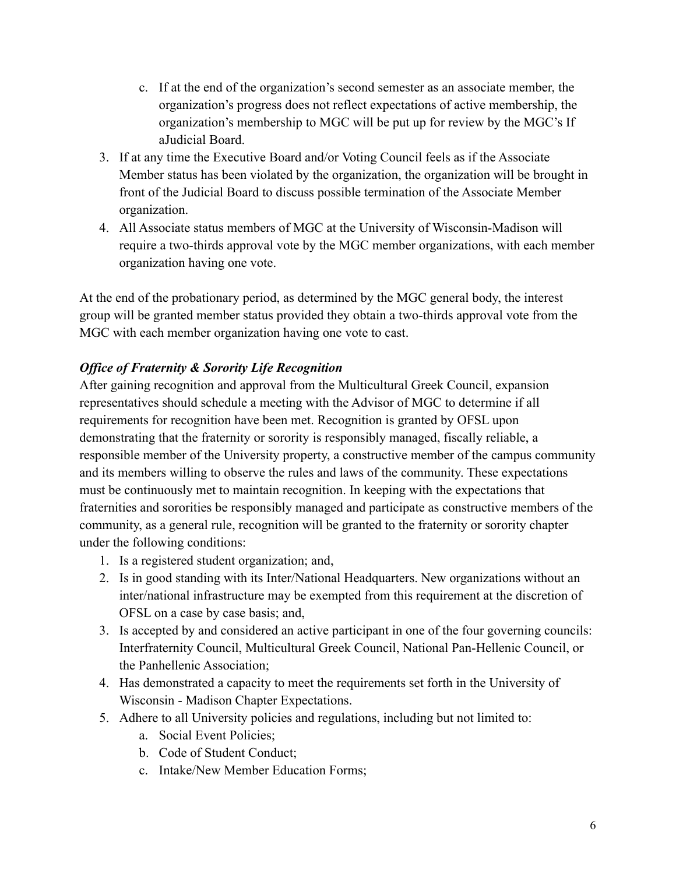- c. If at the end of the organization's second semester as an associate member, the organization's progress does not reflect expectations of active membership, the organization's membership to MGC will be put up for review by the MGC's If aJudicial Board.
- 3. If at any time the Executive Board and/or Voting Council feels as if the Associate Member status has been violated by the organization, the organization will be brought in front of the Judicial Board to discuss possible termination of the Associate Member organization.
- 4. All Associate status members of MGC at the University of Wisconsin-Madison will require a two-thirds approval vote by the MGC member organizations, with each member organization having one vote.

At the end of the probationary period, as determined by the MGC general body, the interest group will be granted member status provided they obtain a two-thirds approval vote from the MGC with each member organization having one vote to cast.

# *Office of Fraternity & Sorority Life Recognition*

After gaining recognition and approval from the Multicultural Greek Council, expansion representatives should schedule a meeting with the Advisor of MGC to determine if all requirements for recognition have been met. Recognition is granted by OFSL upon demonstrating that the fraternity or sorority is responsibly managed, fiscally reliable, a responsible member of the University property, a constructive member of the campus community and its members willing to observe the rules and laws of the community. These expectations must be continuously met to maintain recognition. In keeping with the expectations that fraternities and sororities be responsibly managed and participate as constructive members of the community, as a general rule, recognition will be granted to the fraternity or sorority chapter under the following conditions:

- 1. Is a registered student organization; and,
- 2. Is in good standing with its Inter/National Headquarters. New organizations without an inter/national infrastructure may be exempted from this requirement at the discretion of OFSL on a case by case basis; and,
- 3. Is accepted by and considered an active participant in one of the four governing councils: Interfraternity Council, Multicultural Greek Council, National Pan-Hellenic Council, or the Panhellenic Association;
- 4. Has demonstrated a capacity to meet the requirements set forth in the University of Wisconsin - Madison Chapter Expectations.
- 5. Adhere to all University policies and regulations, including but not limited to:
	- a. Social Event Policies;
	- b. Code of Student Conduct;
	- c. Intake/New Member Education Forms;